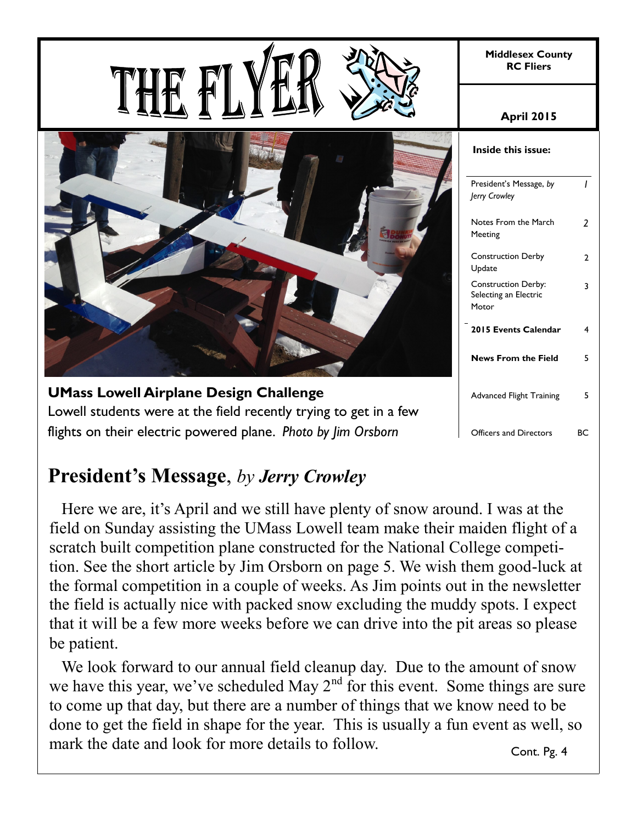**Middlesex County RC Fliers**

**UMass Lowell Airplane Design Challenge** Lowell students were at the field recently trying to get in a few flights on their electric powered plane. *Photo by Jim Orsborn*

#### **April 2015**

| Inside this issue:                                           |                          |
|--------------------------------------------------------------|--------------------------|
| President's Message, by<br>Jerry Crowley                     | ı                        |
| Notes From the March<br>Meeting                              | $\overline{\phantom{a}}$ |
| <b>Construction Derby</b><br>Update                          | 2                        |
| <b>Construction Derby:</b><br>Selecting an Electric<br>Motor | 3                        |
| 2015 Events Calendar                                         | 4                        |
| <b>News From the Field</b>                                   | 5                        |
| <b>Advanced Flight Training</b>                              | 5                        |
| <b>Officers and Directors</b>                                | BС                       |

# **President's Message**, *by Jerry Crowley*

 Here we are, it's April and we still have plenty of snow around. I was at the field on Sunday assisting the UMass Lowell team make their maiden flight of a scratch built competition plane constructed for the National College competition. See the short article by Jim Orsborn on page 5. We wish them good-luck at the formal competition in a couple of weeks. As Jim points out in the newsletter the field is actually nice with packed snow excluding the muddy spots. I expect that it will be a few more weeks before we can drive into the pit areas so please be patient.

 We look forward to our annual field cleanup day. Due to the amount of snow we have this year, we've scheduled May  $2<sup>nd</sup>$  for this event. Some things are sure to come up that day, but there are a number of things that we know need to be done to get the field in shape for the year. This is usually a fun event as well, so mark the date and look for more details to follow. Cont. Pg. 4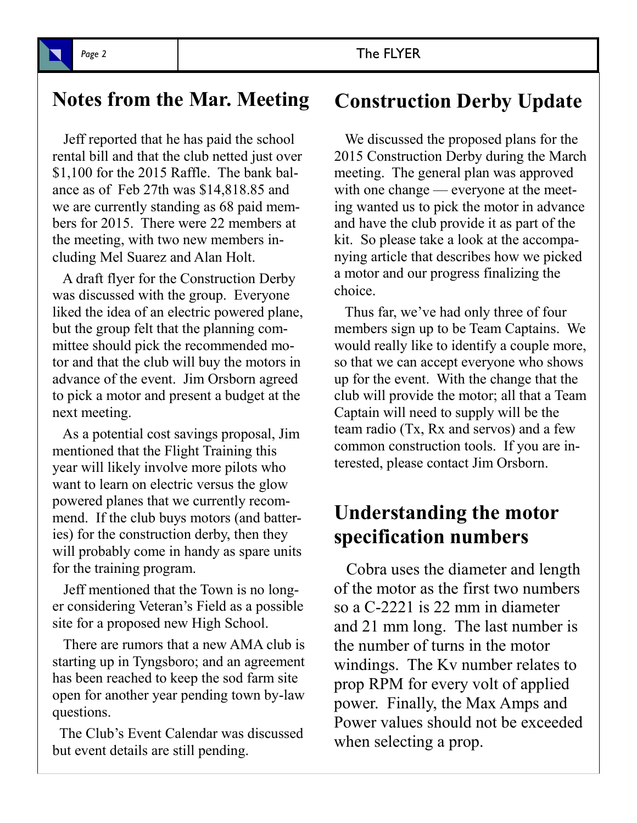# **Notes from the Mar. Meeting Construction Derby Update**

 Jeff reported that he has paid the school rental bill and that the club netted just over \$1,100 for the 2015 Raffle. The bank balance as of Feb 27th was \$14,818.85 and we are currently standing as 68 paid members for 2015. There were 22 members at the meeting, with two new members including Mel Suarez and Alan Holt.

 A draft flyer for the Construction Derby was discussed with the group. Everyone liked the idea of an electric powered plane, but the group felt that the planning committee should pick the recommended motor and that the club will buy the motors in advance of the event. Jim Orsborn agreed to pick a motor and present a budget at the next meeting.

 As a potential cost savings proposal, Jim mentioned that the Flight Training this year will likely involve more pilots who want to learn on electric versus the glow powered planes that we currently recommend. If the club buys motors (and batteries) for the construction derby, then they will probably come in handy as spare units for the training program.

 Jeff mentioned that the Town is no longer considering Veteran's Field as a possible site for a proposed new High School.

 There are rumors that a new AMA club is starting up in Tyngsboro; and an agreement has been reached to keep the sod farm site open for another year pending town by-law questions.

 The Club's Event Calendar was discussed but event details are still pending.

 We discussed the proposed plans for the 2015 Construction Derby during the March meeting. The general plan was approved with one change — everyone at the meeting wanted us to pick the motor in advance and have the club provide it as part of the kit. So please take a look at the accompanying article that describes how we picked a motor and our progress finalizing the choice.

 Thus far, we've had only three of four members sign up to be Team Captains. We would really like to identify a couple more, so that we can accept everyone who shows up for the event. With the change that the club will provide the motor; all that a Team Captain will need to supply will be the team radio (Tx, Rx and servos) and a few common construction tools. If you are interested, please contact Jim Orsborn.

## **Understanding the motor specification numbers**

 Cobra uses the diameter and length of the motor as the first two numbers so a C-2221 is 22 mm in diameter and 21 mm long. The last number is the number of turns in the motor windings. The Kv number relates to prop RPM for every volt of applied power. Finally, the Max Amps and Power values should not be exceeded when selecting a prop.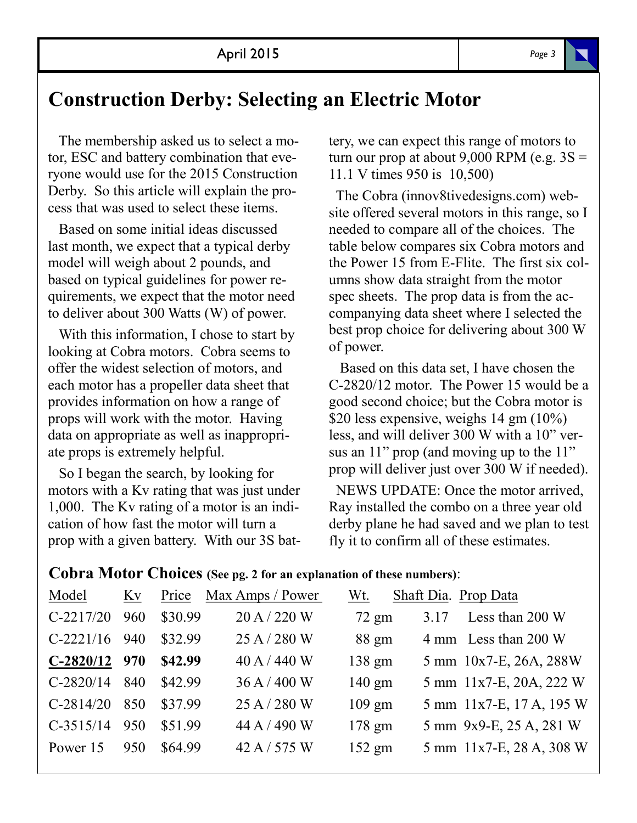### **Construction Derby: Selecting an Electric Motor**

 The membership asked us to select a motor, ESC and battery combination that everyone would use for the 2015 Construction Derby. So this article will explain the process that was used to select these items.

 Based on some initial ideas discussed last month, we expect that a typical derby model will weigh about 2 pounds, and based on typical guidelines for power requirements, we expect that the motor need to deliver about 300 Watts (W) of power.

 With this information, I chose to start by looking at Cobra motors. Cobra seems to offer the widest selection of motors, and each motor has a propeller data sheet that provides information on how a range of props will work with the motor. Having data on appropriate as well as inappropriate props is extremely helpful.

 So I began the search, by looking for motors with a Kv rating that was just under 1,000. The Kv rating of a motor is an indication of how fast the motor will turn a prop with a given battery. With our 3S battery, we can expect this range of motors to turn our prop at about  $9,000$  RPM (e.g.  $3S =$ 11.1 V times 950 is 10,500)

 The Cobra (innov8tivedesigns.com) website offered several motors in this range, so I needed to compare all of the choices. The table below compares six Cobra motors and the Power 15 from E-Flite. The first six columns show data straight from the motor spec sheets. The prop data is from the accompanying data sheet where I selected the best prop choice for delivering about 300 W of power.

 Based on this data set, I have chosen the C-2820/12 motor. The Power 15 would be a good second choice; but the Cobra motor is \$20 less expensive, weighs 14 gm (10%) less, and will deliver 300 W with a 10" versus an 11" prop (and moving up to the 11" prop will deliver just over 300 W if needed).

 NEWS UPDATE: Once the motor arrived, Ray installed the combo on a three year old derby plane he had saved and we plan to test fly it to confirm all of these estimates.

#### **Cobra Motor Choices (See pg. 2 for an explanation of these numbers)**:

| Model           | Kv  |         | Price Max Amps / Power | Wt.             | Shaft Dia. Prop Data |                          |
|-----------------|-----|---------|------------------------|-----------------|----------------------|--------------------------|
| $C-2217/20$     | 960 | \$30.99 | 20 A / 220 W           | $72 \text{ gm}$ | 3.17                 | Less than 200 W          |
| $C-2221/16$     | 940 | \$32.99 | 25 A / 280 W           | 88 gm           |                      | 4 mm Less than 200 W     |
| $C-2820/12$ 970 |     | \$42.99 | $40$ A $/$ 440 W       | 138 gm          |                      | 5 mm 10x7-E, 26A, 288W   |
| $C-2820/14$     | 840 | \$42.99 | 36 A / 400 W           | $140$ gm        |                      | 5 mm 11x7-E, 20A, 222 W  |
| $C-2814/20$     | 850 | \$37.99 | 25 A / 280 W           | $109$ gm        |                      | 5 mm 11x7-E, 17 A, 195 W |
| $C-3515/14$     | 950 | \$51.99 | 44 A / 490 W           | $178$ gm        |                      | 5 mm 9x9-E, 25 A, 281 W  |
| Power 15        | 950 | \$64.99 | 42 A / 575 W           | $152$ gm        |                      | 5 mm 11x7-E, 28 A, 308 W |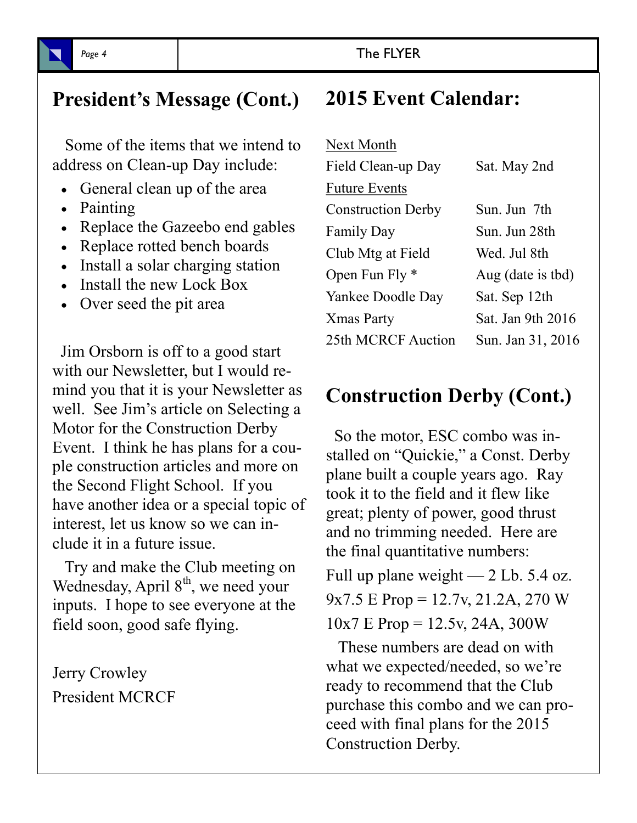# **President's Message (Cont.)**

 Some of the items that we intend to address on Clean-up Day include:

- General clean up of the area
- Painting
- Replace the Gazeebo end gables
- Replace rotted bench boards
- Install a solar charging station
- Install the new Lock Box
- Over seed the pit area

 Jim Orsborn is off to a good start with our Newsletter, but I would remind you that it is your Newsletter as well. See Jim's article on Selecting a Motor for the Construction Derby Event. I think he has plans for a couple construction articles and more on the Second Flight School. If you have another idea or a special topic of interest, let us know so we can include it in a future issue.

 Try and make the Club meeting on Wednesday, April 8<sup>th</sup>, we need your inputs. I hope to see everyone at the field soon, good safe flying.

Jerry Crowley President MCRCF

# **2015 Event Calendar:**

| Next Month                |                   |
|---------------------------|-------------------|
| Field Clean-up Day        | Sat. May 2nd      |
| <b>Future Events</b>      |                   |
| <b>Construction Derby</b> | Sun. Jun 7th      |
| Family Day                | Sun. Jun 28th     |
| Club Mtg at Field         | Wed. Jul 8th      |
| Open Fun Fly $*$          | Aug (date is tbd) |
| Yankee Doodle Day         | Sat. Sep 12th     |
| Xmas Party                | Sat. Jan 9th 2016 |
| 25th MCRCF Auction        | Sun. Jan 31, 2016 |

## **Construction Derby (Cont.)**

 So the motor, ESC combo was installed on "Quickie," a Const. Derby plane built a couple years ago. Ray took it to the field and it flew like great; plenty of power, good thrust and no trimming needed. Here are the final quantitative numbers:

Full up plane weight — 2 Lb. 5.4 oz. 9x7.5 E Prop = 12.7v, 21.2A, 270 W  $10x7 \text{ E Prop} = 12.5y, 24A, 300W$ 

 These numbers are dead on with what we expected/needed, so we're ready to recommend that the Club purchase this combo and we can proceed with final plans for the 2015 Construction Derby.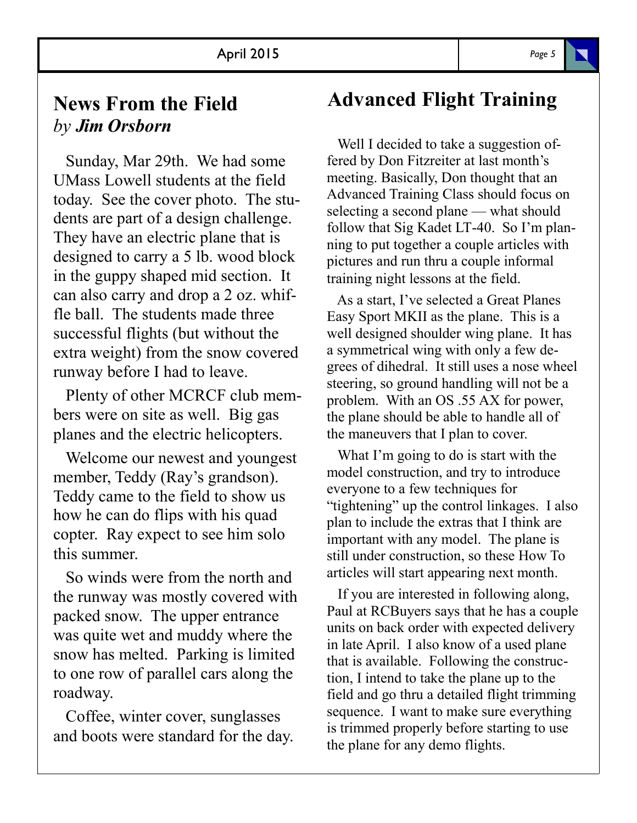### **News From the Field** *by Jim Orsborn*

 Sunday, Mar 29th. We had some UMass Lowell students at the field today. See the cover photo. The students are part of a design challenge. They have an electric plane that is designed to carry a 5 lb. wood block in the guppy shaped mid section. It can also carry and drop a 2 oz. whiffle ball. The students made three successful flights (but without the extra weight) from the snow covered runway before I had to leave.

 Plenty of other MCRCF club members were on site as well. Big gas planes and the electric helicopters.

 Welcome our newest and youngest member, Teddy (Ray's grandson). Teddy came to the field to show us how he can do flips with his quad copter. Ray expect to see him solo this summer.

 So winds were from the north and the runway was mostly covered with packed snow. The upper entrance was quite wet and muddy where the snow has melted. Parking is limited to one row of parallel cars along the roadway.

 Coffee, winter cover, sunglasses and boots were standard for the day.

# **Advanced Flight Training**

 Well I decided to take a suggestion offered by Don Fitzreiter at last month's meeting. Basically, Don thought that an Advanced Training Class should focus on selecting a second plane — what should follow that Sig Kadet LT-40. So I'm planning to put together a couple articles with pictures and run thru a couple informal training night lessons at the field.

 As a start, I've selected a Great Planes Easy Sport MKII as the plane. This is a well designed shoulder wing plane. It has a symmetrical wing with only a few degrees of dihedral. It still uses a nose wheel steering, so ground handling will not be a problem. With an OS .55 AX for power, the plane should be able to handle all of the maneuvers that I plan to cover.

 What I'm going to do is start with the model construction, and try to introduce everyone to a few techniques for "tightening" up the control linkages. I also plan to include the extras that I think are important with any model. The plane is still under construction, so these How To articles will start appearing next month.

 If you are interested in following along, Paul at RCBuyers says that he has a couple units on back order with expected delivery in late April. I also know of a used plane that is available. Following the construction, I intend to take the plane up to the field and go thru a detailed flight trimming sequence. I want to make sure everything is trimmed properly before starting to use the plane for any demo flights.